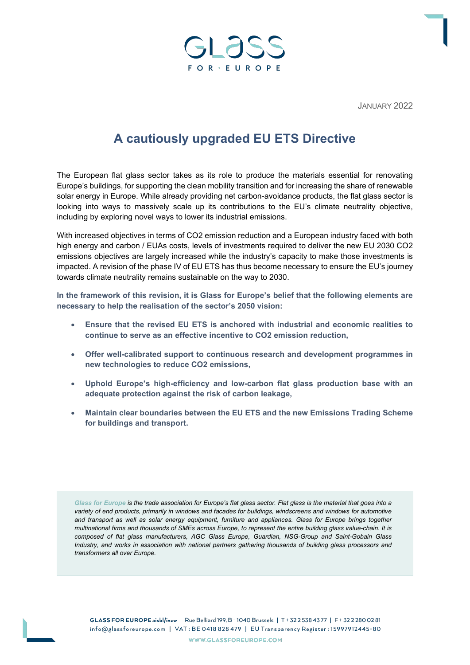

JANUARY 2022

# **A cautiously upgraded EU ETS Directive**

The European flat glass sector takes as its role to produce the materials essential for renovating Europe's buildings, for supporting the clean mobility transition and for increasing the share of renewable solar energy in Europe. While already providing net carbon-avoidance products, the flat glass sector is looking into ways to massively scale up its contributions to the EU's climate neutrality objective, including by exploring novel ways to lower its industrial emissions.

With increased objectives in terms of CO2 emission reduction and a European industry faced with both high energy and carbon / EUAs costs, levels of investments required to deliver the new EU 2030 CO2 emissions objectives are largely increased while the industry's capacity to make those investments is impacted. A revision of the phase IV of EU ETS has thus become necessary to ensure the EU's journey towards climate neutrality remains sustainable on the way to 2030.

**In the framework of this revision, it is Glass for Europe's belief that the following elements are necessary to help the realisation of the sector's 2050 vision:**

- **Ensure that the revised EU ETS is anchored with industrial and economic realities to continue to serve as an effective incentive to CO2 emission reduction,**
- **Offer well-calibrated support to continuous research and development programmes in new technologies to reduce CO2 emissions,**
- **Uphold Europe's high-efficiency and low-carbon flat glass production base with an adequate protection against the risk of carbon leakage,**
- **Maintain clear boundaries between the EU ETS and the new Emissions Trading Scheme for buildings and transport.**

*Glass for Europe is the trade association for Europe's flat glass sector. Flat glass is the material that goes into a variety of end products, primarily in windows and facades for buildings, windscreens and windows for automotive and transport as well as solar energy equipment, furniture and appliances. Glass for Europe brings together multinational firms and thousands of SMEs across Europe, to represent the entire building glass value-chain. It is composed of flat glass manufacturers, AGC Glass Europe, Guardian, NSG-Group and Saint-Gobain Glass Industry, and works in association with national partners gathering thousands of building glass processors and transformers all over Europe.*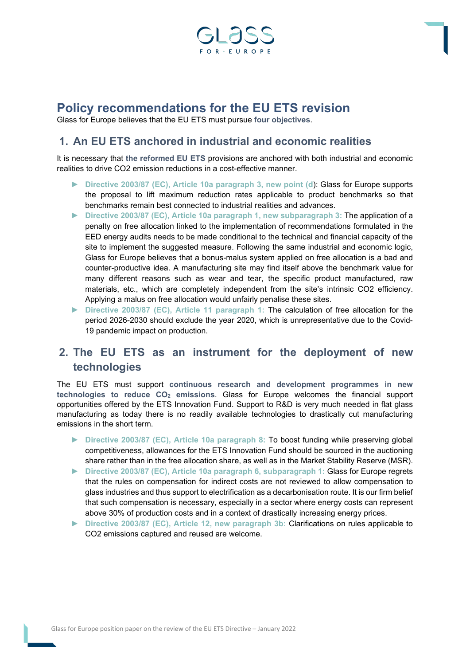

# **Policy recommendations for the EU ETS revision**

Glass for Europe believes that the EU ETS must pursue **four objectives**.

#### **1. An EU ETS anchored in industrial and economic realities**

It is necessary that **the reformed EU ETS** provisions are anchored with both industrial and economic realities to drive CO2 emission reductions in a cost-effective manner.

- ► **Directive 2003/87 (EC), Article 10a paragraph 3, new point (d**): Glass for Europe supports the proposal to lift maximum reduction rates applicable to product benchmarks so that benchmarks remain best connected to industrial realities and advances.
- ► **Directive 2003/87 (EC), Article 10a paragraph 1, new subparagraph 3:** The application of a penalty on free allocation linked to the implementation of recommendations formulated in the EED energy audits needs to be made conditional to the technical and financial capacity of the site to implement the suggested measure. Following the same industrial and economic logic, Glass for Europe believes that a bonus-malus system applied on free allocation is a bad and counter-productive idea. A manufacturing site may find itself above the benchmark value for many different reasons such as wear and tear, the specific product manufactured, raw materials, etc., which are completely independent from the site's intrinsic CO2 efficiency. Applying a malus on free allocation would unfairly penalise these sites.
- ► **Directive 2003/87 (EC), Article 11 paragraph 1:** The calculation of free allocation for the period 2026-2030 should exclude the year 2020, which is unrepresentative due to the Covid-19 pandemic impact on production.

### **2. The EU ETS as an instrument for the deployment of new technologies**

The EU ETS must support **continuous research and development programmes in new**  technologies to reduce CO<sub>2</sub> emissions. Glass for Europe welcomes the financial support opportunities offered by the ETS Innovation Fund. Support to R&D is very much needed in flat glass manufacturing as today there is no readily available technologies to drastically cut manufacturing emissions in the short term.

- ► **Directive 2003/87 (EC), Article 10a paragraph 8:** To boost funding while preserving global competitiveness, allowances for the ETS Innovation Fund should be sourced in the auctioning share rather than in the free allocation share, as well as in the Market Stability Reserve (MSR).
- ► **Directive 2003/87 (EC), Article 10a paragraph 6, subparagraph 1:** Glass for Europe regrets that the rules on compensation for indirect costs are not reviewed to allow compensation to glass industries and thus support to electrification as a decarbonisation route. It is our firm belief that such compensation is necessary, especially in a sector where energy costs can represent above 30% of production costs and in a context of drastically increasing energy prices.
- ► **Directive 2003/87 (EC), Article 12, new paragraph 3b:** Clarifications on rules applicable to CO2 emissions captured and reused are welcome.